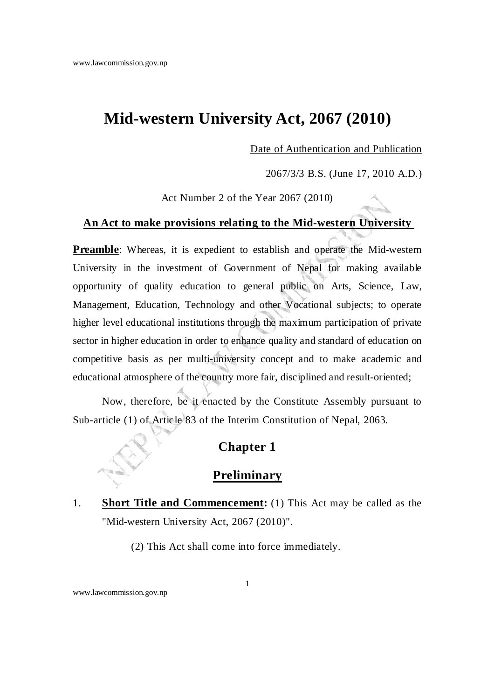# **Mid-western University Act, 2067 (2010)**

Date of Authentication and Publication

2067/3/3 B.S. (June 17, 2010 A.D.)

Act Number 2 of the Year 2067 (2010)

#### **An Act to make provisions relating to the Mid-western University**

**Preamble**: Whereas, it is expedient to establish and operate the Mid-western University in the investment of Government of Nepal for making available opportunity of quality education to general public on Arts, Science, Law, Management, Education, Technology and other Vocational subjects; to operate higher level educational institutions through the maximum participation of private sector in higher education in order to enhance quality and standard of education on competitive basis as per multi-university concept and to make academic and educational atmosphere of the country more fair, disciplined and result-oriented;

Now, therefore, be it enacted by the Constitute Assembly pursuant to Sub-article (1) of Article 83 of the Interim Constitution of Nepal, 2063.

### **Chapter 1**

### **Preliminary**

1. **Short Title and Commencement:** (1) This Act may be called as the "Mid-western University Act, 2067 (2010)".

(2) This Act shall come into force immediately.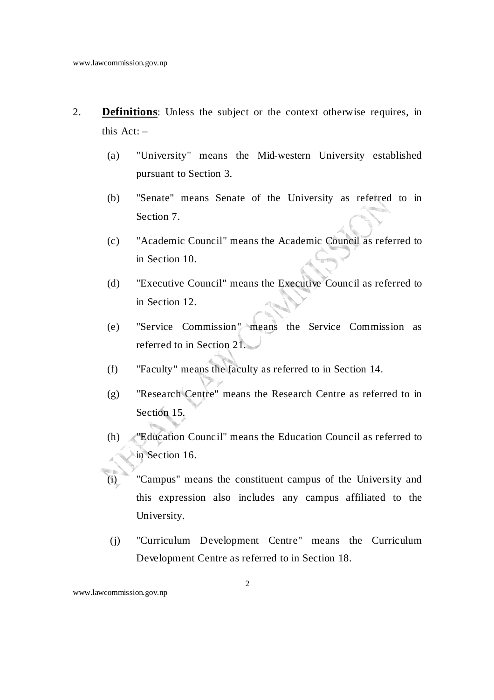- 2. **Definitions**: Unless the subject or the context otherwise requires, in this  $Act: -$ 
	- (a) "University" means the Mid-western University established pursuant to Section 3.
	- (b) "Senate" means Senate of the University as referred to in Section 7.
	- (c) "Academic Council" means the Academic Council as referred to in Section 10.
	- (d) "Executive Council" means the Executive Council as referred to in Section 12.
	- (e) "Service Commission" means the Service Commission as referred to in Section 21.
	- (f) "Faculty" means the faculty as referred to in Section 14.
	- (g) "Research Centre" means the Research Centre as referred to in Section 15.
	- (h) "Education Council" means the Education Council as referred to in Section 16.
	- (i) "Campus" means the constituent campus of the University and this expression also includes any campus affiliated to the University.
		- (j) "Curriculum Development Centre" means the Curriculum Development Centre as referred to in Section 18.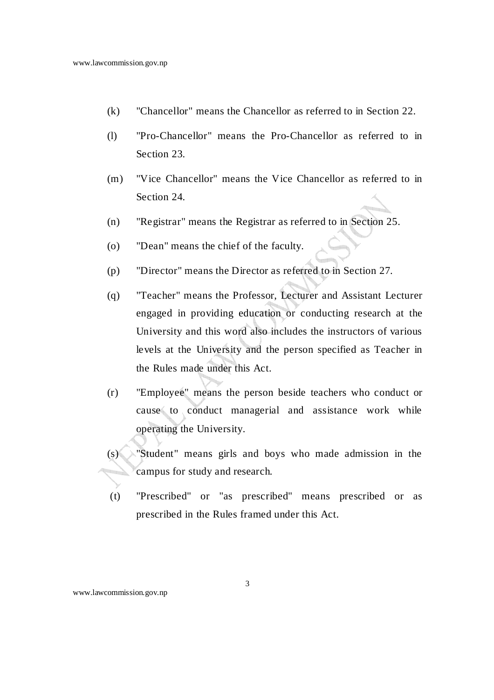- (k) "Chancellor" means the Chancellor as referred to in Section 22.
- (l) "Pro-Chancellor" means the Pro-Chancellor as referred to in Section 23.
- (m) "Vice Chancellor" means the Vice Chancellor as referred to in Section 24
- (n) "Registrar" means the Registrar as referred to in Section 25.
- (o) "Dean" means the chief of the faculty.
- (p) "Director" means the Director as referred to in Section 27.
- (q) "Teacher" means the Professor, Lecturer and Assistant Lecturer engaged in providing education or conducting research at the University and this word also includes the instructors of various levels at the University and the person specified as Teacher in the Rules made under this Act.
- (r) "Employee" means the person beside teachers who conduct or cause to conduct managerial and assistance work while operating the University.
- (s) "Student" means girls and boys who made admission in the campus for study and research.
- (t) "Prescribed" or "as prescribed" means prescribed or as prescribed in the Rules framed under this Act.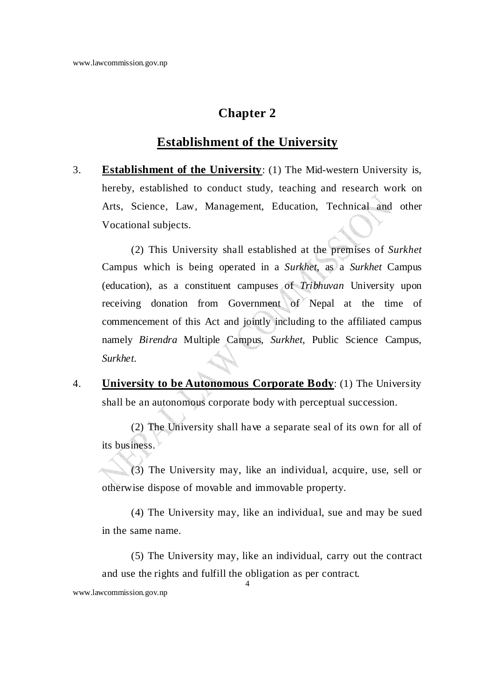### **Establishment of the University**

3. **Establishment of the University**: (1) The Mid-western University is, hereby, established to conduct study, teaching and research work on Arts, Science, Law, Management, Education, Technical and other Vocational subjects.

 (2) This University shall established at the premises of *Surkhet* Campus which is being operated in a *Surkhet*, as a *Surkhet* Campus (education), as a constituent campuses of *Tribhuvan* University upon receiving donation from Government of Nepal at the time of commencement of this Act and jointly including to the affiliated campus namely *Birendra* Multiple Campus, *Surkhet*, Public Science Campus, *Surkhet*.

4. **University to be Autonomous Corporate Body**: (1) The University shall be an autonomous corporate body with perceptual succession.

 (2) The University shall have a separate seal of its own for all of its business.

 (3) The University may, like an individual, acquire, use, sell or otherwise dispose of movable and immovable property.

 (4) The University may, like an individual, sue and may be sued in the same name.

4 (5) The University may, like an individual, carry out the contract and use the rights and fulfill the obligation as per contract.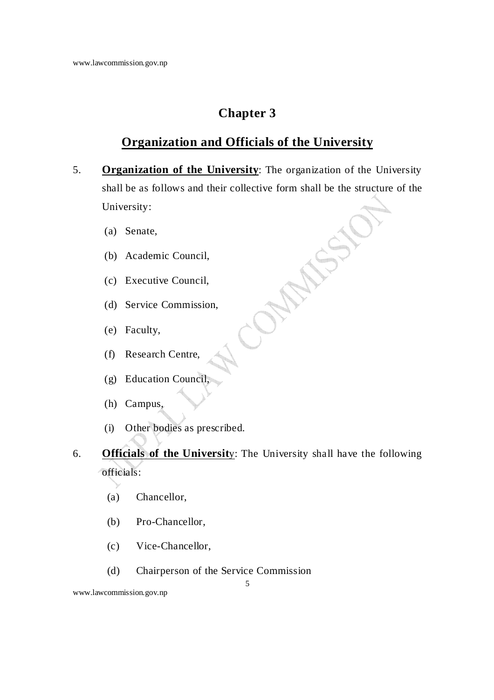# **Organization and Officials of the University**

- 5. **Organization of the University**: The organization of the University shall be as follows and their collective form shall be the structure of the University:
	- (a) Senate,
	- (b) Academic Council,
	- (c) Executive Council,
	- (d) Service Commission,
	- (e) Faculty,
	- (f) Research Centre,
	- (g) Education Council,
	- (h) Campus,
	- (i) Other bodies as prescribed.
- 6. **Officials of the Universit**y: The University shall have the following officials:

5

- (a) Chancellor,
- (b) Pro-Chancellor,
- (c) Vice-Chancellor,
- (d) Chairperson of the Service Commission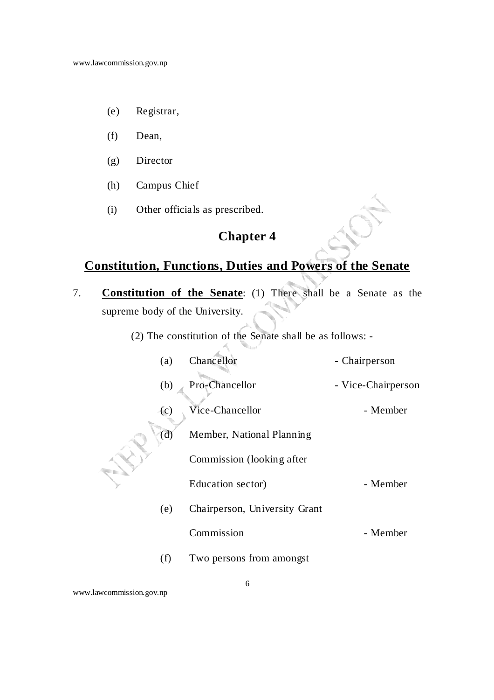- (e) Registrar,
- (f) Dean,
- (g) Director
- (h) Campus Chief
- (i) Other officials as prescribed.

# **Constitution, Functions, Duties and Powers of the Senate**

- 7. **Constitution of the Senate**: (1) There shall be a Senate as the supreme body of the University.
	- (2) The constitution of the Senate shall be as follows: -

|  | (a)                       | Chancellor                    | - Chairperson      |
|--|---------------------------|-------------------------------|--------------------|
|  | (b)                       | Pro-Chancellor                | - Vice-Chairperson |
|  | $\left( \text{c} \right)$ | Vice-Chancellor               | - Member           |
|  | (d)                       | Member, National Planning     |                    |
|  |                           | Commission (looking after)    |                    |
|  |                           | Education sector)             | - Member           |
|  | (e)                       | Chairperson, University Grant |                    |
|  |                           | Commission                    | - Member           |
|  | (f)                       | Two persons from amongst      |                    |
|  |                           |                               |                    |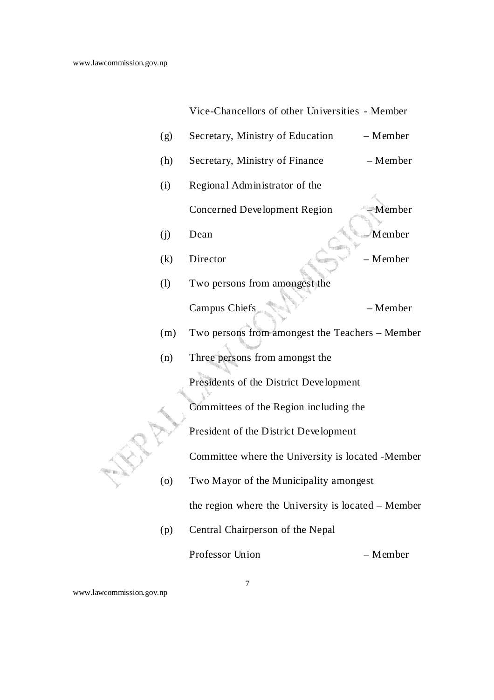Vice-Chancellors of other Universities - Member

| (g) | Secretary, Ministry of Education                    | - Member |
|-----|-----------------------------------------------------|----------|
| (h) | Secretary, Ministry of Finance                      | - Member |
| (i) | Regional Administrator of the                       |          |
|     | <b>Concerned Development Region</b>                 | - Member |
| (j) | Dean                                                | Member   |
| (k) | Director                                            | - Member |
| (1) | Two persons from amongest the                       |          |
|     | Campus Chiefs                                       | - Member |
| (m) | Two persons from amongest the Teachers - Member     |          |
| (n) | Three persons from amongst the                      |          |
|     | Presidents of the District Development              |          |
|     | Committees of the Region including the              |          |
|     | President of the District Development               |          |
|     | Committee where the University is located - Member  |          |
| (o) | Two Mayor of the Municipality amongest              |          |
|     | the region where the University is located – Member |          |
| (p) | Central Chairperson of the Nepal                    |          |
|     | Professor Union                                     | - Member |

www.lawcommission.gov.np

7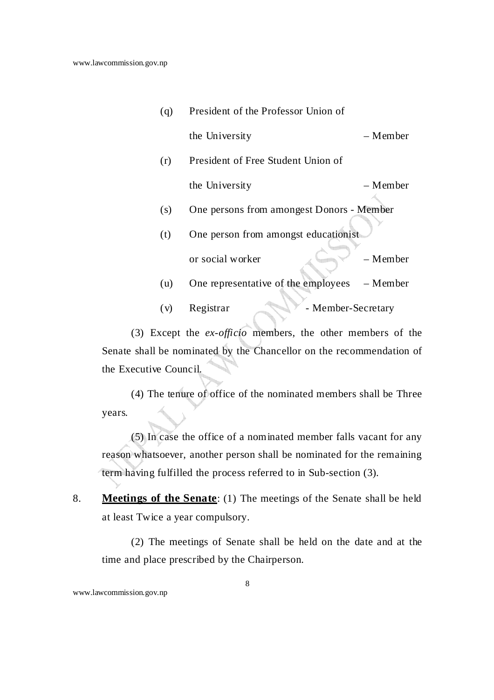- (q) President of the Professor Union of the University – Member
- (r) President of Free Student Union of the University – Member
- (s) One persons from amongest Donors Member
- (t) One person from amongst educationist or social worker – Member
- (u) One representative of the employees Member
- (v) Registrar Member-Secretary

 (3) Except the *ex-officio* members, the other members of the Senate shall be nominated by the Chancellor on the recommendation of the Executive Council.

 (4) The tenure of office of the nominated members shall be Three years.

 (5) In case the office of a nominated member falls vacant for any reason whatsoever, another person shall be nominated for the remaining term having fulfilled the process referred to in Sub-section (3).

8. **Meetings of the Senate**: (1) The meetings of the Senate shall be held at least Twice a year compulsory.

 (2) The meetings of Senate shall be held on the date and at the time and place prescribed by the Chairperson.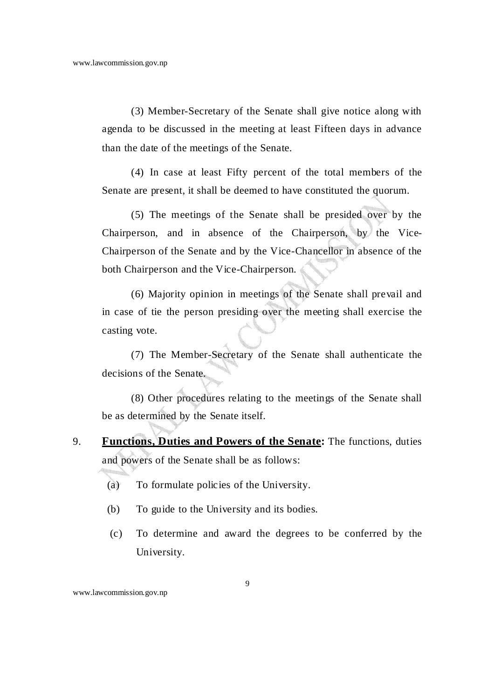(3) Member-Secretary of the Senate shall give notice along with agenda to be discussed in the meeting at least Fifteen days in advance than the date of the meetings of the Senate.

 (4) In case at least Fifty percent of the total members of the Senate are present, it shall be deemed to have constituted the quorum.

 (5) The meetings of the Senate shall be presided over by the Chairperson, and in absence of the Chairperson, by the Vice-Chairperson of the Senate and by the Vice-Chancellor in absence of the both Chairperson and the Vice-Chairperson.

 (6) Majority opinion in meetings of the Senate shall prevail and in case of tie the person presiding over the meeting shall exercise the casting vote.

 (7) The Member-Secretary of the Senate shall authenticate the decisions of the Senate.

 (8) Other procedures relating to the meetings of the Senate shall be as determined by the Senate itself.

- 9. **Functions, Duties and Powers of the Senate:** The functions, duties and powers of the Senate shall be as follows:
	- (a) To formulate policies of the University.
	- (b) To guide to the University and its bodies.
	- (c) To determine and award the degrees to be conferred by the University.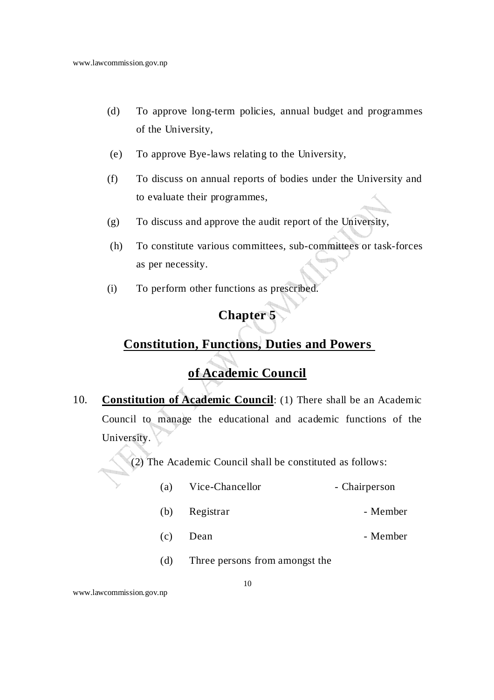- (d) To approve long-term policies, annual budget and programmes of the University,
- (e) To approve Bye-laws relating to the University,
- (f) To discuss on annual reports of bodies under the University and to evaluate their programmes,
- (g) To discuss and approve the audit report of the University,
- (h) To constitute various committees, sub-committees or task-forces as per necessity.
- (i) To perform other functions as prescribed.

# **Constitution, Functions, Duties and Powers**

# **of Academic Council**

10. **Constitution of Academic Council**: (1) There shall be an Academic Council to manage the educational and academic functions of the University.

(2) The Academic Council shall be constituted as follows:

- (a) Vice-Chancellor Chairperson
- (b) Registrar Member
- (c) Dean Member
- (d) Three persons from amongst the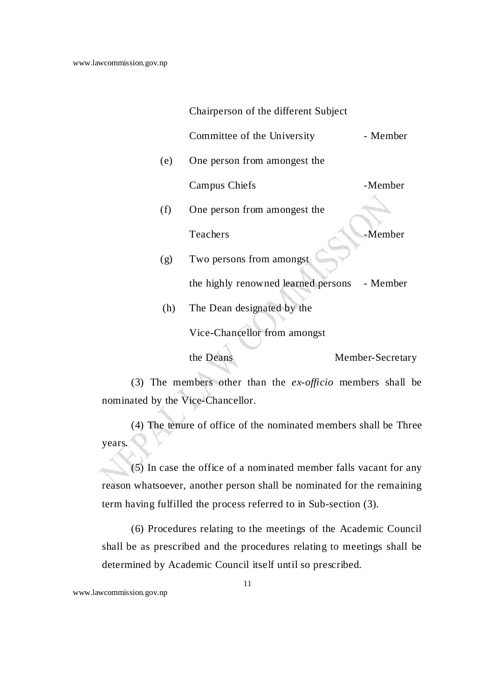Chairperson of the different Subject

Committee of the University - Member

(e) One person from amongest the

Campus Chiefs -Member

- (f) One person from amongest the Teachers **-Member**
- (g) Two persons from amongst the highly renowned learned persons - Member (h) The Dean designated by the

Vice-Chancellor from amongst

the Deans Member-Secretary

 (3) The members other than the *ex-officio* members shall be nominated by the Vice-Chancellor.

 (4) The tenure of office of the nominated members shall be Three years.

 (5) In case the office of a nominated member falls vacant for any reason whatsoever, another person shall be nominated for the remaining term having fulfilled the process referred to in Sub-section (3).

 (6) Procedures relating to the meetings of the Academic Council shall be as prescribed and the procedures relating to meetings shall be determined by Academic Council itself until so prescribed.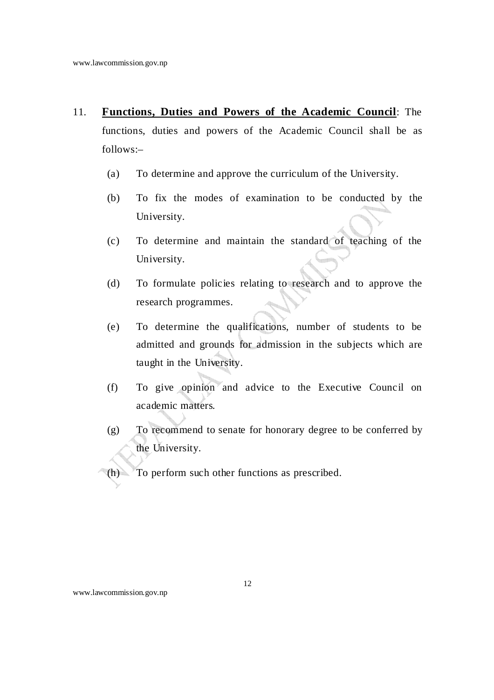- 11. **Functions, Duties and Powers of the Academic Council**: The functions, duties and powers of the Academic Council shall be as follows:–
	- (a) To determine and approve the curriculum of the University.
	- (b) To fix the modes of examination to be conducted by the University.
	- (c) To determine and maintain the standard of teaching of the University.
	- (d) To formulate policies relating to research and to approve the research programmes.
	- (e) To determine the qualifications, number of students to be admitted and grounds for admission in the subjects which are taught in the University.
	- (f) To give opinion and advice to the Executive Council on academic matters.
	- (g) To recommend to senate for honorary degree to be conferred by the University.

(h) To perform such other functions as prescribed.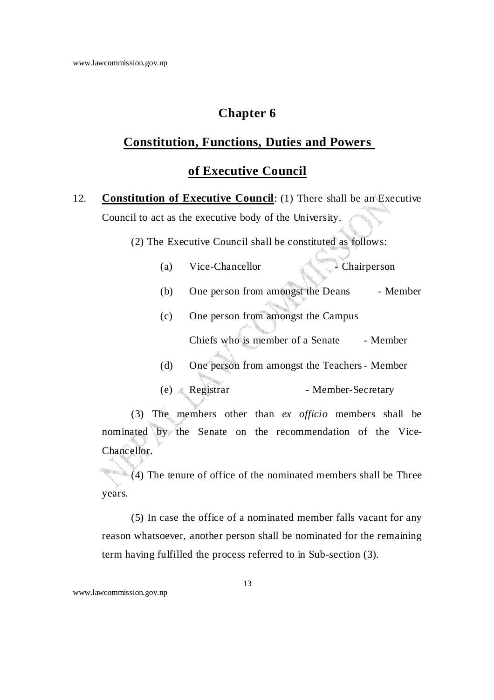# **Constitution, Functions, Duties and Powers**

### **of Executive Council**

12. **Constitution of Executive Council**: (1) There shall be an Executive Council to act as the executive body of the University.

(2) The Executive Council shall be constituted as follows:

| (a) | Vice-Chancellor | $\sim$ Chairperson |
|-----|-----------------|--------------------|
|-----|-----------------|--------------------|

- (b) One person from amongst the Deans Member
- (c) One person from amongst the Campus

Chiefs who is member of a Senate - Member

- (d) One person from amongst the Teachers Member
- (e) Registrar Member-Secretary

 (3) The members other than *ex officio* members shall be nominated by the Senate on the recommendation of the Vice-Chancellor.

 (4) The tenure of office of the nominated members shall be Three years.

 (5) In case the office of a nominated member falls vacant for any reason whatsoever, another person shall be nominated for the remaining term having fulfilled the process referred to in Sub-section (3).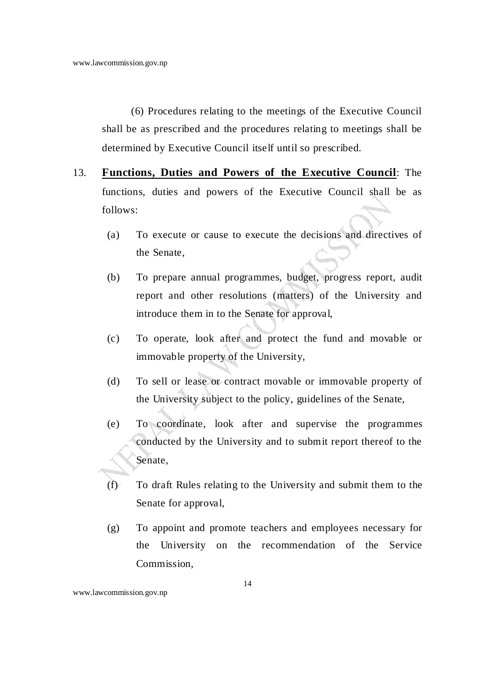(6) Procedures relating to the meetings of the Executive Council shall be as prescribed and the procedures relating to meetings shall be determined by Executive Council itself until so prescribed.

- 13. **Functions, Duties and Powers of the Executive Council**: The functions, duties and powers of the Executive Council shall be as follows:
	- (a) To execute or cause to execute the decisions and directives of the Senate,
	- (b) To prepare annual programmes, budget, progress report, audit report and other resolutions (matters) of the University and introduce them in to the Senate for approval,
	- (c) To operate, look after and protect the fund and movable or immovable property of the University,
	- (d) To sell or lease or contract movable or immovable property of the University subject to the policy, guidelines of the Senate,
	- (e) To coordinate, look after and supervise the programmes conducted by the University and to submit report thereof to the Senate,
	- (f) To draft Rules relating to the University and submit them to the Senate for approval,
	- (g) To appoint and promote teachers and employees necessary for the University on the recommendation of the Service Commission,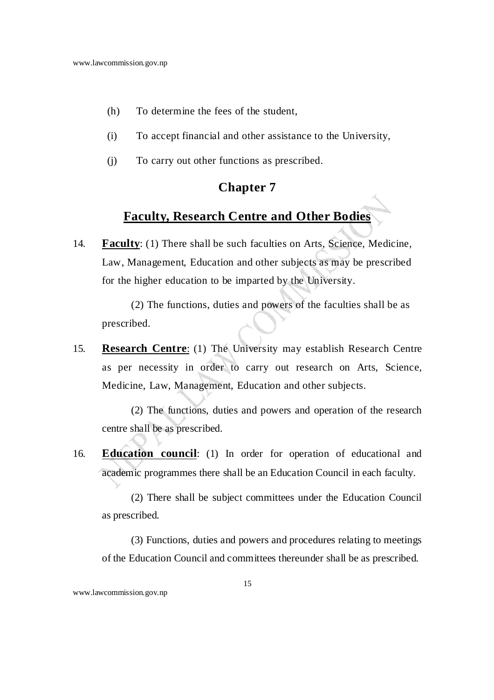- (h) To determine the fees of the student,
- (i) To accept financial and other assistance to the University,
- (j) To carry out other functions as prescribed.

# **Faculty, Research Centre and Other Bodies**

14. **Faculty**: (1) There shall be such faculties on Arts, Science, Medicine, Law, Management, Education and other subjects as may be prescribed for the higher education to be imparted by the University.

 (2) The functions, duties and powers of the faculties shall be as prescribed.

15. **Research Centre**: (1) The University may establish Research Centre as per necessity in order to carry out research on Arts, Science, Medicine, Law, Management, Education and other subjects.

 (2) The functions, duties and powers and operation of the research centre shall be as prescribed.

16. **Education council**: (1) In order for operation of educational and academic programmes there shall be an Education Council in each faculty.

 (2) There shall be subject committees under the Education Council as prescribed.

 (3) Functions, duties and powers and procedures relating to meetings of the Education Council and committees thereunder shall be as prescribed.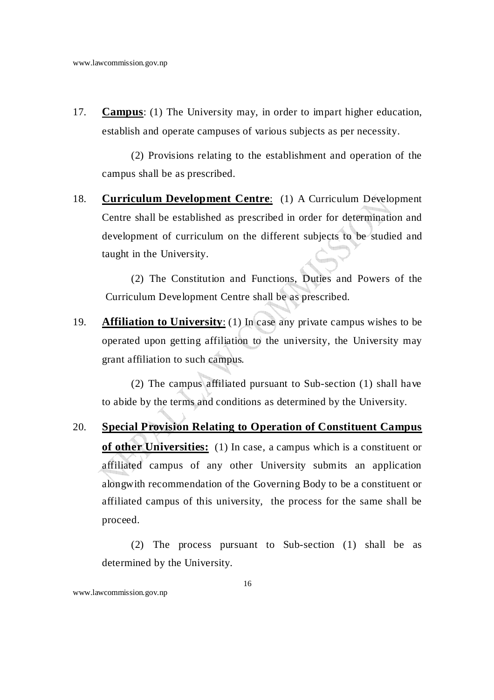17. **Campus**: (1) The University may, in order to impart higher education, establish and operate campuses of various subjects as per necessity.

 (2) Provisions relating to the establishment and operation of the campus shall be as prescribed.

18. **Curriculum Development Centre**: (1) A Curriculum Development Centre shall be established as prescribed in order for determination and development of curriculum on the different subjects to be studied and taught in the University.

 (2) The Constitution and Functions, Duties and Powers of the Curriculum Development Centre shall be as prescribed.

19. **Affiliation to University**: (1) In case any private campus wishes to be operated upon getting affiliation to the university, the University may grant affiliation to such campus.

 (2) The campus affiliated pursuant to Sub-section (1) shall have to abide by the terms and conditions as determined by the University.

20. **Special Provision Relating to Operation of Constituent Campus of other Universities:**(1) In case, a campus which is a constituent or affiliated campus of any other University submits an application alongwith recommendation of the Governing Body to be a constituent or affiliated campus of this university, the process for the same shall be proceed.

 (2) The process pursuant to Sub-section (1) shall be as determined by the University.

www.lawcommission.gov.np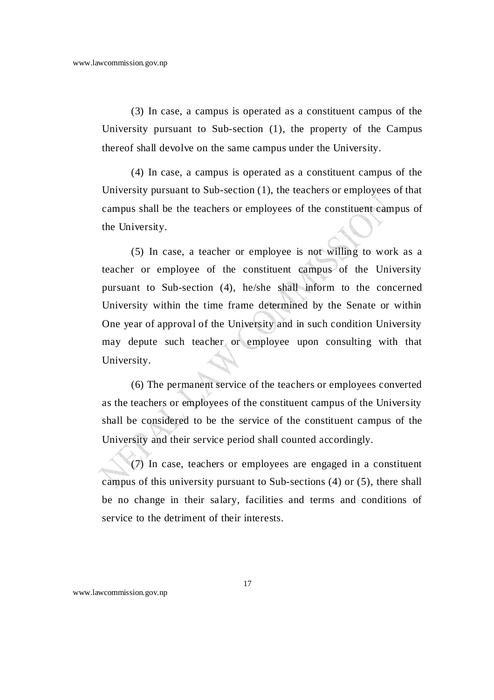(3) In case, a campus is operated as a constituent campus of the University pursuant to Sub-section (1), the property of the Campus thereof shall devolve on the same campus under the University.

 (4) In case, a campus is operated as a constituent campus of the University pursuant to Sub-section (1), the teachers or employees of that campus shall be the teachers or employees of the constituent campus of the University.

 (5) In case, a teacher or employee is not willing to work as a teacher or employee of the constituent campus of the University pursuant to Sub-section (4), he/she shall inform to the concerned University within the time frame determined by the Senate or within One year of approval of the University and in such condition University may depute such teacher or employee upon consulting with that University.

 (6) The permanent service of the teachers or employees converted as the teachers or employees of the constituent campus of the University shall be considered to be the service of the constituent campus of the University and their service period shall counted accordingly.

 (7) In case, teachers or employees are engaged in a constituent campus of this university pursuant to Sub-sections (4) or (5), there shall be no change in their salary, facilities and terms and conditions of service to the detriment of their interests.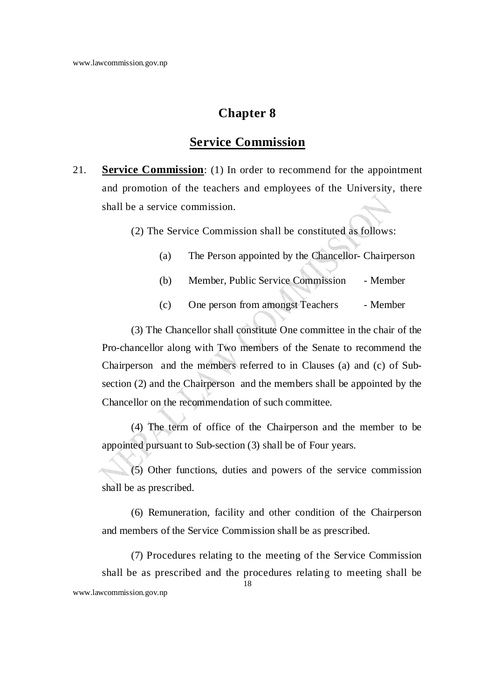### **Service Commission**

21. **Service Commission**: (1) In order to recommend for the appointment and promotion of the teachers and employees of the University, there shall be a service commission.

(2) The Service Commission shall be constituted as follows:

- (a) The Person appointed by the Chancellor- Chairperson
- (b) Member, Public Service Commission Member
- (c) One person from amongst Teachers Member

 (3) The Chancellor shall constitute One committee in the chair of the Pro-chancellor along with Two members of the Senate to recommend the Chairperson and the members referred to in Clauses (a) and (c) of Subsection (2) and the Chairperson and the members shall be appointed by the Chancellor on the recommendation of such committee.

 (4) The term of office of the Chairperson and the member to be appointed pursuant to Sub-section (3) shall be of Four years.

 (5) Other functions, duties and powers of the service commission shall be as prescribed.

 (6) Remuneration, facility and other condition of the Chairperson and members of the Service Commission shall be as prescribed.

18 www.lawcommission.gov.np (7) Procedures relating to the meeting of the Service Commission shall be as prescribed and the procedures relating to meeting shall be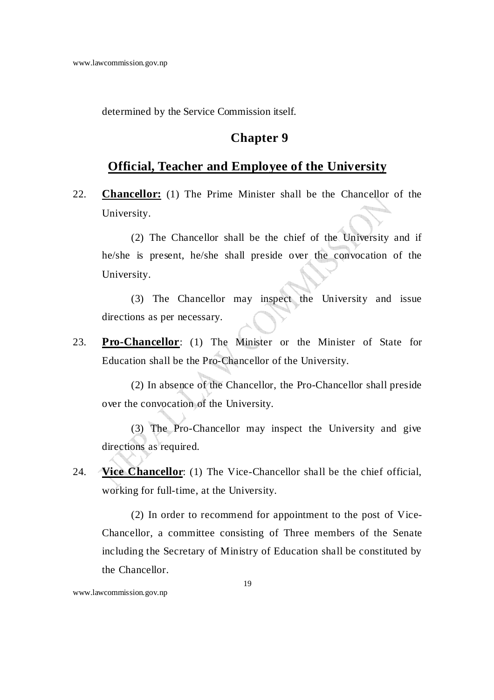determined by the Service Commission itself.

### **Chapter 9**

### **Official, Teacher and Employee of the University**

22. **Chancellor:** (1) The Prime Minister shall be the Chancellor of the University.

 (2) The Chancellor shall be the chief of the University and if he/she is present, he/she shall preside over the convocation of the University.

 (3) The Chancellor may inspect the University and issue directions as per necessary.

23. **Pro-Chancellor**: (1) The Minister or the Minister of State for Education shall be the Pro-Chancellor of the University.

 (2) In absence of the Chancellor, the Pro-Chancellor shall preside over the convocation of the University.

 (3) The Pro-Chancellor may inspect the University and give directions as required.

24. **Vice Chancellor**: (1) The Vice-Chancellor shall be the chief official, working for full-time, at the University.

 (2) In order to recommend for appointment to the post of Vice-Chancellor, a committee consisting of Three members of the Senate including the Secretary of Ministry of Education shall be constituted by the Chancellor.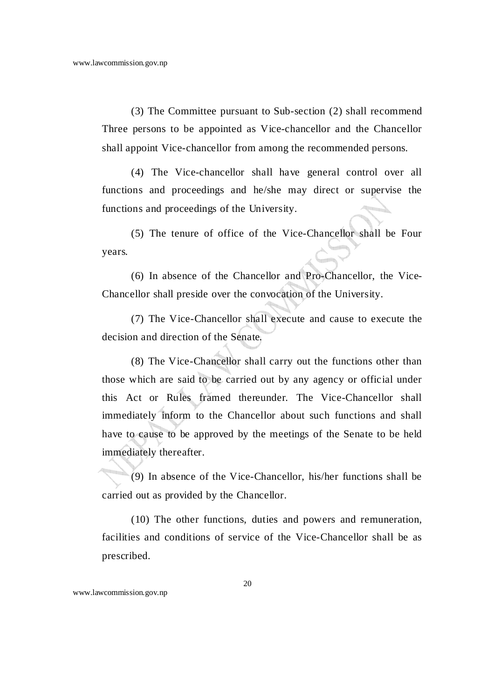(3) The Committee pursuant to Sub-section (2) shall recommend Three persons to be appointed as Vice-chancellor and the Chancellor shall appoint Vice-chancellor from among the recommended persons.

 (4) The Vice-chancellor shall have general control over all functions and proceedings and he/she may direct or supervise the functions and proceedings of the University.

 (5) The tenure of office of the Vice-Chancellor shall be Four years.

 (6) In absence of the Chancellor and Pro-Chancellor, the Vice-Chancellor shall preside over the convocation of the University.

 (7) The Vice-Chancellor shall execute and cause to execute the decision and direction of the Senate.

 (8) The Vice-Chancellor shall carry out the functions other than those which are said to be carried out by any agency or official under this Act or Rules framed thereunder. The Vice-Chancellor shall immediately inform to the Chancellor about such functions and shall have to cause to be approved by the meetings of the Senate to be held immediately thereafter.

 (9) In absence of the Vice-Chancellor, his/her functions shall be carried out as provided by the Chancellor.

 (10) The other functions, duties and powers and remuneration, facilities and conditions of service of the Vice-Chancellor shall be as prescribed.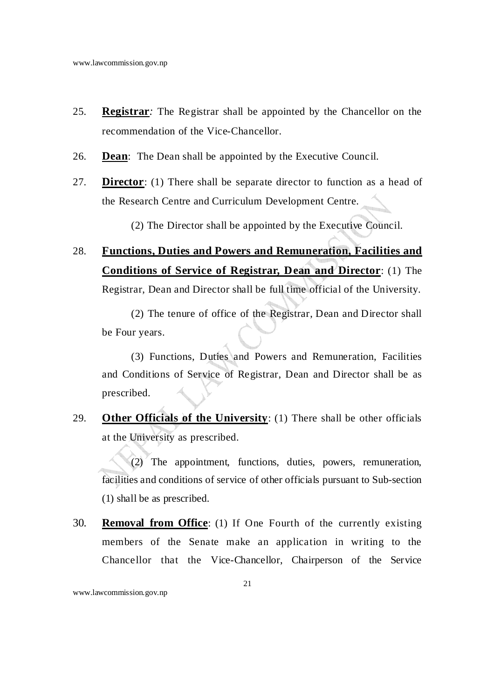- 25. **Registrar***:* The Registrar shall be appointed by the Chancellor on the recommendation of the Vice-Chancellor.
- 26. **Dean**: The Dean shall be appointed by the Executive Council.
- 27. **Director**: (1) There shall be separate director to function as a head of the Research Centre and Curriculum Development Centre.

(2) The Director shall be appointed by the Executive Council.

# 28. **Functions, Duties and Powers and Remuneration, Facilities and Conditions of Service of Registrar, Dean and Director**: (1) The Registrar, Dean and Director shall be full time official of the University.

 (2) The tenure of office of the Registrar, Dean and Director shall be Four years.

 (3) Functions, Duties and Powers and Remuneration, Facilities and Conditions of Service of Registrar, Dean and Director shall be as prescribed.

29. **Other Officials of the University**: (1) There shall be other officials at the University as prescribed.

 (2) The appointment, functions, duties, powers, remuneration, facilities and conditions of service of other officials pursuant to Sub-section (1) shall be as prescribed.

30. **Removal from Office**: (1) If One Fourth of the currently existing members of the Senate make an application in writing to the Chancellor that the Vice-Chancellor, Chairperson of the Service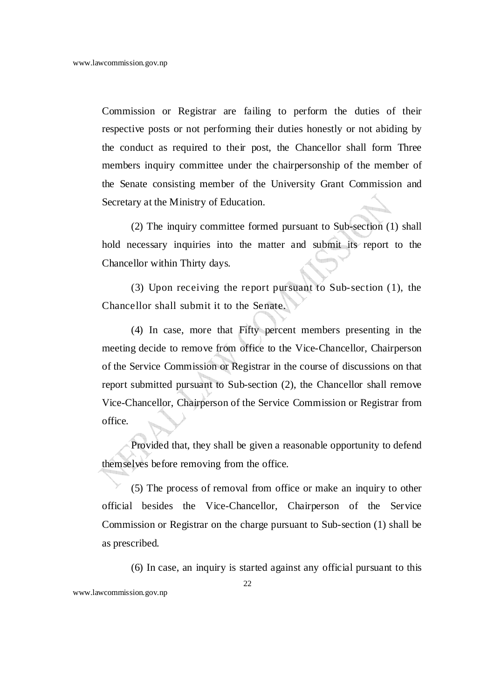Commission or Registrar are failing to perform the duties of their respective posts or not performing their duties honestly or not abiding by the conduct as required to their post, the Chancellor shall form Three members inquiry committee under the chairpersonship of the member of the Senate consisting member of the University Grant Commission and Secretary at the Ministry of Education.

(2) The inquiry committee formed pursuant to Sub-section (1) shall hold necessary inquiries into the matter and submit its report to the Chancellor within Thirty days.

(3) Upon receiving the report pursuant to Sub-section (1), the Chancellor shall submit it to the Senate.

(4) In case, more that Fifty percent members presenting in the meeting decide to remove from office to the Vice-Chancellor, Chairperson of the Service Commission or Registrar in the course of discussions on that report submitted pursuant to Sub-section (2), the Chancellor shall remove Vice-Chancellor, Chairperson of the Service Commission or Registrar from office.

Provided that, they shall be given a reasonable opportunity to defend themselves before removing from the office.

(5) The process of removal from office or make an inquiry to other official besides the Vice-Chancellor, Chairperson of the Service Commission or Registrar on the charge pursuant to Sub-section (1) shall be as prescribed.

(6) In case, an inquiry is started against any official pursuant to this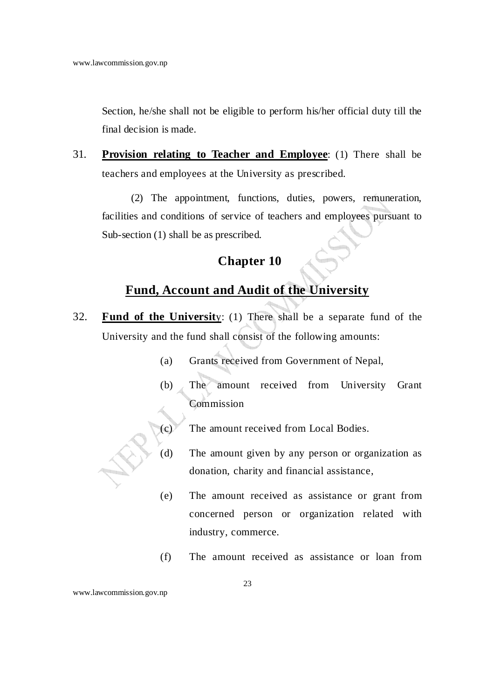Section, he/she shall not be eligible to perform his/her official duty till the final decision is made.

31. **Provision relating to Teacher and Employee**: (1) There shall be teachers and employees at the University as prescribed.

 (2) The appointment, functions, duties, powers, remuneration, facilities and conditions of service of teachers and employees pursuant to Sub-section (1) shall be as prescribed.

# **Chapter 10**

# **Fund, Account and Audit of the University**

- 32. **Fund of the Universit**y: (1) There shall be a separate fund of the University and the fund shall consist of the following amounts:
	- (a) Grants received from Government of Nepal,
	- (b) The amount received from University Grant Commission
	- (c) The amount received from Local Bodies.
	- (d) The amount given by any person or organization as donation, charity and financial assistance,
	- (e) The amount received as assistance or grant from concerned person or organization related with industry, commerce.
	- (f) The amount received as assistance or loan from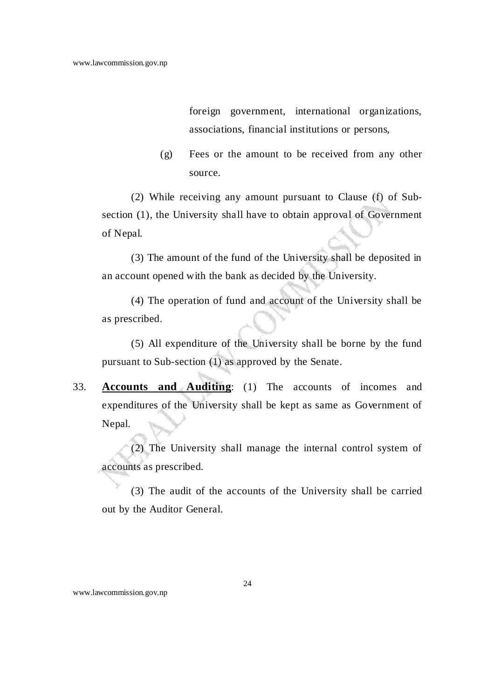foreign government, international organizations, associations, financial institutions or persons,

(g) Fees or the amount to be received from any other source.

 (2) While receiving any amount pursuant to Clause (f) of Subsection (1), the University shall have to obtain approval of Government of Nepal.

 (3) The amount of the fund of the University shall be deposited in an account opened with the bank as decided by the University.

 (4) The operation of fund and account of the University shall be as prescribed.

 (5) All expenditure of the University shall be borne by the fund pursuant to Sub-section (1) as approved by the Senate.

33. **Accounts and Auditing**: (1) The accounts of incomes and expenditures of the University shall be kept as same as Government of Nepal.

 (2) The University shall manage the internal control system of accounts as prescribed.

 (3) The audit of the accounts of the University shall be carried out by the Auditor General.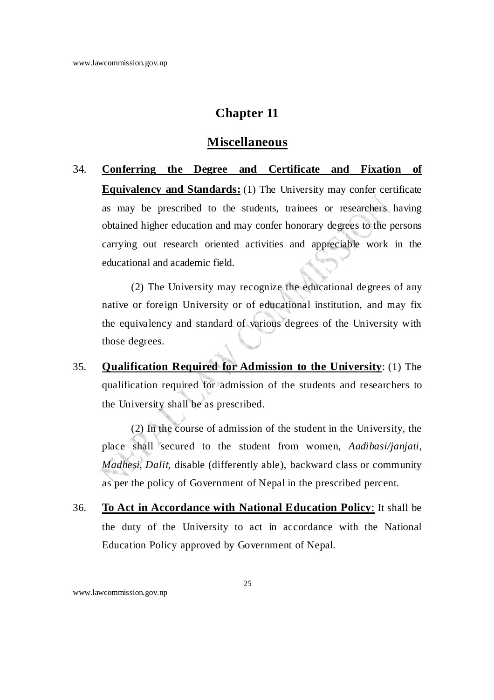#### **Miscellaneous**

34. **Conferring the Degree and Certificate and Fixation of Equivalency and Standards:** (1) The University may confer certificate as may be prescribed to the students, trainees or researchers having obtained higher education and may confer honorary degrees to the persons carrying out research oriented activities and appreciable work in the educational and academic field.

 (2) The University may recognize the educational degrees of any native or foreign University or of educational institution, and may fix the equivalency and standard of various degrees of the University with those degrees.

35. **Qualification Required for Admission to the University**: (1) The qualification required for admission of the students and researchers to the University shall be as prescribed.

 (2) In the course of admission of the student in the University, the place shall secured to the student from women, *Aadibasi/janjati, Madhesi, Dalit,* disable (differently able), backward class or community as per the policy of Government of Nepal in the prescribed percent.

36. **To Act in Accordance with National Education Policy**: It shall be the duty of the University to act in accordance with the National Education Policy approved by Government of Nepal.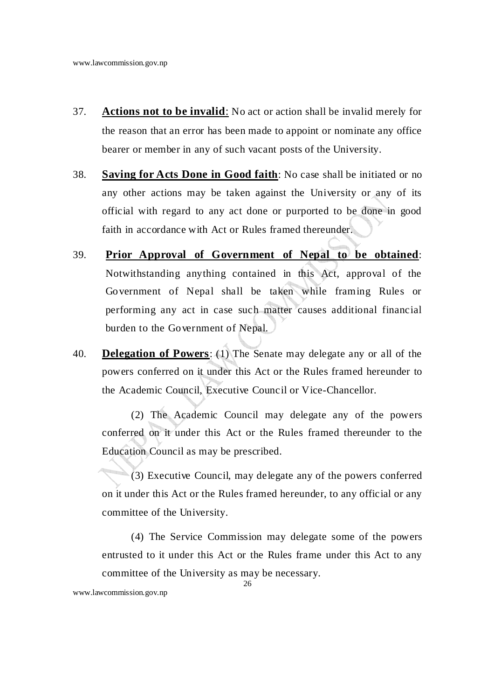- 37. **Actions not to be invalid**: No act or action shall be invalid merely for the reason that an error has been made to appoint or nominate any office bearer or member in any of such vacant posts of the University.
- 38. **Saving for Acts Done in Good faith**: No case shall be initiated or no any other actions may be taken against the University or any of its official with regard to any act done or purported to be done in good faith in accordance with Act or Rules framed thereunder.
- 39. **Prior Approval of Government of Nepal to be obtained**: Notwithstanding anything contained in this Act, approval of the Government of Nepal shall be taken while framing Rules or performing any act in case such matter causes additional financial burden to the Government of Nepal.
- 40. **Delegation of Powers**: (1) The Senate may delegate any or all of the powers conferred on it under this Act or the Rules framed hereunder to the Academic Council, Executive Council or Vice-Chancellor.

 (2) The Academic Council may delegate any of the powers conferred on it under this Act or the Rules framed thereunder to the Education Council as may be prescribed.

 (3) Executive Council, may delegate any of the powers conferred on it under this Act or the Rules framed hereunder, to any official or any committee of the University.

 (4) The Service Commission may delegate some of the powers entrusted to it under this Act or the Rules frame under this Act to any committee of the University as may be necessary.